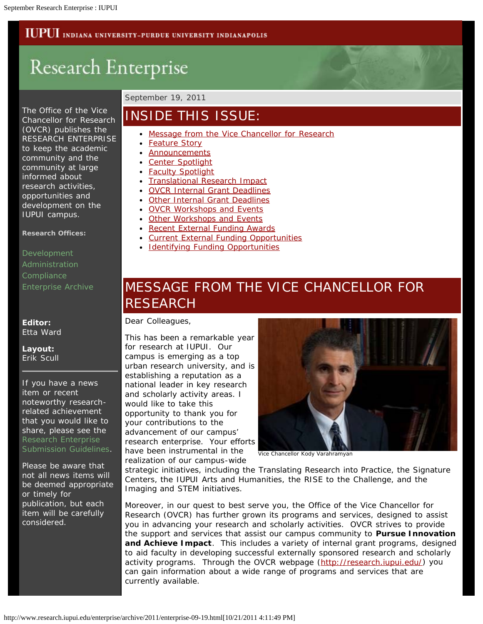### **IUPUI** INDIANA UNIVERSITY-PURDUE UNIVERSITY INDIANAPOLIS

# Research Enterprise

The Office of the Vice Chancellor for Research (OVCR) publishes the RESEARCH ENTERPRISE to keep the academic community and the community at large informed about research activities, opportunities and development on the IUPUI campus.

**Research Offices:**

[Development](http://research.iupui.edu/) [Administration](http://researchadmin.iu.edu/gc.html) **[Compliance](http://researchadmin.iu.edu/cs.html)** [Enterprise Archive](http://research.iupui.edu/enterprise/archive/archive.htm)

**Editor:** Etta Ward

**Layout:** Erik Scull

If you have a news item or recent noteworthy researchrelated achievement that you would like to share, please see the [Research Enterprise](http://research.iupui.edu/enterprise/guidelines.php) [Submission Guidelines](http://research.iupui.edu/enterprise/guidelines.php).

Please be aware that not all news items will be deemed appropriate or timely for publication, but each item will be carefully considered.

#### September 19, 2011

### INSIDE THIS ISSUE:

- [Message from the Vice Chancellor for Research](http://research.iupui.edu/enterprise/archive/2011/enterprise-09-19.html#letter)
- [Feature Story](http://research.iupui.edu/enterprise/archive/2011/enterprise-09-19.html#feature)
- [Announcements](http://research.iupui.edu/enterprise/archive/2011/enterprise-09-19.html#announcements)
- [Center Spotlight](http://research.iupui.edu/enterprise/archive/2011/enterprise-09-19.html#center)
- [Faculty Spotlight](http://research.iupui.edu/enterprise/archive/2011/enterprise-09-19.html#faculty)
- [Translational Research Impact](http://research.iupui.edu/enterprise/archive/2011/enterprise-09-19.html#impact)
- [OVCR Internal Grant Deadlines](http://research.iupui.edu/enterprise/archive/2011/enterprise-09-19.html#ovcr-internal)
- [Other Internal Grant Deadlines](http://research.iupui.edu/enterprise/archive/2011/enterprise-09-19.html#other-internal)
- [OVCR Workshops and Events](http://research.iupui.edu/enterprise/archive/2011/enterprise-09-19.html#ovcr-workshops)
- [Other Workshops and Events](http://research.iupui.edu/enterprise/archive/2011/enterprise-09-19.html#other-workshops)
- [Recent External Funding Awards](http://research.iupui.edu/enterprise/archive/2011/enterprise-09-19.html#recentawards)
- [Current External Funding Opportunities](http://research.iupui.edu/enterprise/archive/2011/enterprise-09-19.html#external)
- [Identifying Funding Opportunities](http://research.iupui.edu/enterprise/archive/2011/enterprise-09-19.html#findingfunding)

# MESSAGE FROM THE VICE CHANCELLOR FOR RESEARCH

Dear Colleagues,

This has been a remarkable year for research at IUPUI. Our campus is emerging as a top urban research university, and is establishing a reputation as a national leader in key research and scholarly activity areas. I would like to take this opportunity to thank you for your contributions to the advancement of our campus' research enterprise. Your efforts have been instrumental in the realization of our campus-wide



Vice Chancellor Kody Varahramyan

strategic initiatives, including the Translating Research into Practice, the Signature Centers, the IUPUI Arts and Humanities, the RISE to the Challenge, and the Imaging and STEM initiatives.

Moreover, in our quest to best serve you, the Office of the Vice Chancellor for Research (OVCR) has further grown its programs and services, designed to assist you in advancing your research and scholarly activities. OVCR strives to provide the support and services that assist our campus community to *Pursue Innovation and Achieve Impact*. This includes a variety of internal grant programs, designed to aid faculty in developing successful externally sponsored research and scholarly activity programs. Through the OVCR webpage ([http://research.iupui.edu/\)](http://research.iupui.edu/) you can gain information about a wide range of programs and services that are currently available.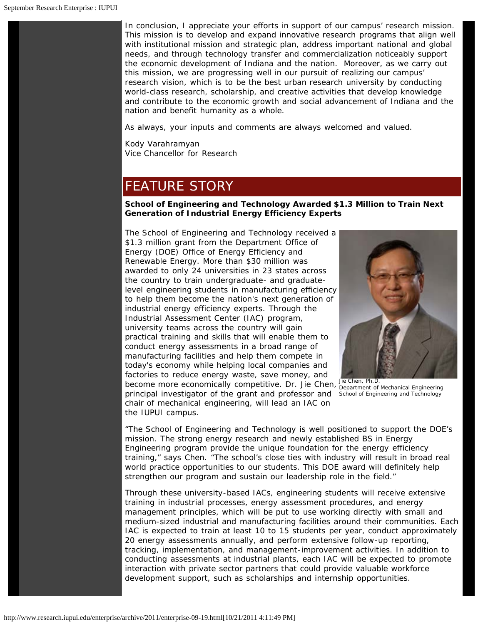In conclusion, I appreciate your efforts in support of our campus' research mission. This mission is *to develop and expand innovative research programs that align well with institutional mission and strategic plan, address important national and global needs, and through technology transfer and commercialization noticeably support the economic development of Indiana and the nation.* Moreover, as we carry out this mission, we are progressing well in our pursuit of realizing our campus' research vision, which is *to be the best urban research university by conducting world-class research, scholarship, and creative activities that develop knowledge and contribute to the economic growth and social advancement of Indiana and the nation and benefit humanity as a whole.*

As always, your inputs and comments are always welcomed and valued.

Kody Varahramyan Vice Chancellor for Research

# FEATURE STORY

#### **School of Engineering and Technology Awarded \$1.3 Million to Train Next Generation of Industrial Energy Efficiency Experts**

become more economically competitive. Dr. Jie Chen, Je Chen, PH.D. Rechanical Engineering principal investigator of the grant and professor and School of Engineering and Technology The School of Engineering and Technology received a \$1.3 million grant from the Department Office of Energy (DOE) Office of Energy Efficiency and Renewable Energy. More than \$30 million was awarded to only 24 universities in 23 states across the country to train undergraduate- and graduatelevel engineering students in manufacturing efficiency to help them become the nation's next generation of industrial energy efficiency experts. Through the Industrial Assessment Center (IAC) program, university teams across the country will gain practical training and skills that will enable them to conduct energy assessments in a broad range of manufacturing facilities and help them compete in today's economy while helping local companies and factories to reduce energy waste, save money, and

chair of mechanical engineering, will lead an IAC on



Jie Chen, Ph.D.

"The School of Engineering and Technology is well positioned to support the DOE's mission. The strong energy research and newly established BS in Energy Engineering program provide the unique foundation for the energy efficiency training," says Chen. "The school's close ties with industry will result in broad real world practice opportunities to our students. This DOE award will definitely help strengthen our program and sustain our leadership role in the field."

Through these university-based IACs, engineering students will receive extensive training in industrial processes, energy assessment procedures, and energy management principles, which will be put to use working directly with small and medium-sized industrial and manufacturing facilities around their communities. Each IAC is expected to train at least 10 to 15 students per year, conduct approximately 20 energy assessments annually, and perform extensive follow-up reporting, tracking, implementation, and management-improvement activities. In addition to conducting assessments at industrial plants, each IAC will be expected to promote interaction with private sector partners that could provide valuable workforce development support, such as scholarships and internship opportunities.

the IUPUI campus.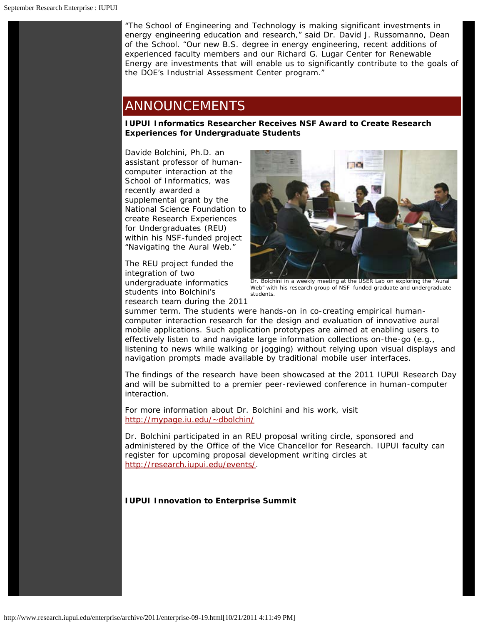"The School of Engineering and Technology is making significant investments in energy engineering education and research," said Dr. David J. Russomanno, Dean of the School. "Our new B.S. degree in energy engineering, recent additions of experienced faculty members and our Richard G. Lugar Center for Renewable Energy are investments that will enable us to significantly contribute to the goals of the DOE's Industrial Assessment Center program."

### ANNOUNCEMENTS

**IUPUI Informatics Researcher Receives NSF Award to Create Research Experiences for Undergraduate Students**

Davide Bolchini, Ph.D. an assistant professor of humancomputer interaction at the School of Informatics, was recently awarded a supplemental grant by the National Science Foundation to create Research Experiences for Undergraduates (REU) within his NSF-funded project "Navigating the Aural Web."

The REU project funded the integration of two undergraduate informatics students into Bolchini's research team during the 2011



Dr. Bolchini in a weekly meeting at the USER Lab on exploring the "Aural Web" with his research group of NSF- funded graduate and undergraduate students.

summer term. The students were hands-on in co-creating empirical humancomputer interaction research for the design and evaluation of innovative aural mobile applications. Such application prototypes are aimed at enabling users to effectively listen to and navigate large information collections on-the-go (e.g., listening to news while walking or jogging) without relying upon visual displays and navigation prompts made available by traditional mobile user interfaces.

The findings of the research have been showcased at the 2011 IUPUI Research Day and will be submitted to a premier peer-reviewed conference in human-computer interaction.

For more information about Dr. Bolchini and his work, visit <http://mypage.iu.edu/~dbolchin/>

Dr. Bolchini participated in an REU proposal writing circle, sponsored and administered by the Office of the Vice Chancellor for Research. IUPUI faculty can register for upcoming proposal development writing circles at [http://research.iupui.edu/events/.](http://research.iupui.edu/events/)

#### **IUPUI Innovation to Enterprise Summit**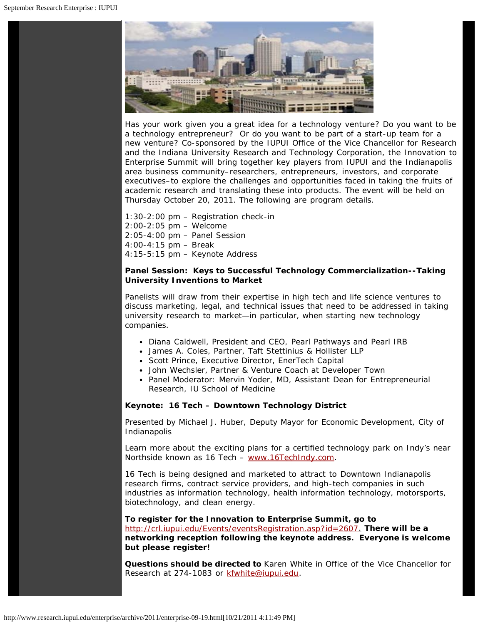

Has your work given you a great idea for a technology venture? Do you want to be a technology entrepreneur? Or do you want to be part of a start-up team for a new venture? Co-sponsored by the IUPUI Office of the Vice Chancellor for Research and the Indiana University Research and Technology Corporation, the Innovation to Enterprise Summit will bring together key players from IUPUI and the Indianapolis area business community–researchers, entrepreneurs, investors, and corporate executives–to explore the challenges and opportunities faced in taking the fruits of academic research and translating these into products. The event will be held on Thursday October 20, 2011. The following are program details.

- 1:30-2:00 pm Registration check-in
- 2:00-2:05 pm Welcome
- 2:05-4:00 pm Panel Session
- 4:00-4:15 pm Break
- 4:15-5:15 pm Keynote Address

#### **Panel Session: Keys to Successful Technology Commercialization--Taking University Inventions to Market**

Panelists will draw from their expertise in high tech and life science ventures to discuss marketing, legal, and technical issues that need to be addressed in taking university research to market—in particular, when starting new technology companies.

- Diana Caldwell, President and CEO, Pearl Pathways and Pearl IRB
- James A. Coles, Partner, Taft Stettinius & Hollister LLP
- Scott Prince, Executive Director, EnerTech Capital
- John Wechsler, Partner & Venture Coach at Developer Town
- Panel Moderator: Mervin Yoder, MD, Assistant Dean for Entrepreneurial Research, IU School of Medicine

#### **Keynote: 16 Tech – Downtown Technology District**

Presented by Michael J. Huber, Deputy Mayor for Economic Development, City of Indianapolis

Learn more about the exciting plans for a certified technology park on Indy's near Northside known as 16 Tech – [www.16TechIndy.com.](http://www.16techindy.com/)

16 Tech is being designed and marketed to attract to Downtown Indianapolis research firms, contract service providers, and high-tech companies in such industries as information technology, health information technology, motorsports, biotechnology, and clean energy.

#### **To register for the Innovation to Enterprise Summit, go to**

[http://crl.iupui.edu/Events/eventsRegistration.asp?id=2607.](http://crl.iupui.edu/Events/eventsRegistration.asp?id=2607) *There will be a networking reception following the keynote address. Everyone is welcome but please register!*

**Questions should be directed to** Karen White in Office of the Vice Chancellor for Research at 274-1083 or [kfwhite@iupui.edu.](mailto:kfwhite@iupui.edu)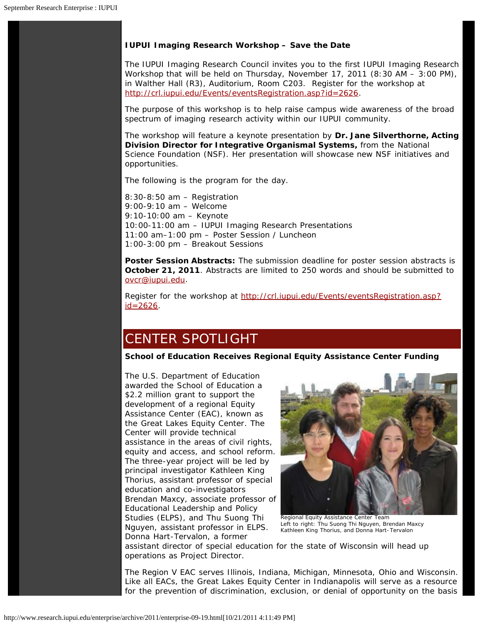#### **IUPUI Imaging Research Workshop – Save the Date**

The IUPUI Imaging Research Council invites you to the first IUPUI Imaging Research Workshop that will be held on Thursday, November 17, 2011 (8:30 AM – 3:00 PM), in Walther Hall (R3), Auditorium, Room C203. Register for the workshop at [http://crl.iupui.edu/Events/eventsRegistration.asp?id=2626.](http://crl.iupui.edu/Events/eventsRegistration.asp?id=2626)

The purpose of this workshop is to help raise campus wide awareness of the broad spectrum of imaging research activity within our IUPUI community.

The workshop will feature a keynote presentation by **Dr. Jane Silverthorne, Acting Division Director for Integrative Organismal Systems,** from the National Science Foundation (NSF). Her presentation will showcase new NSF initiatives and opportunities.

The following is the program for the day.

8:30-8:50 am – Registration 9:00-9:10 am – Welcome 9:10-10:00 am – Keynote 10:00-11:00 am – IUPUI Imaging Research Presentations 11:00 am–1:00 pm – Poster Session / Luncheon 1:00-3:00 pm – Breakout Sessions

**Poster Session Abstracts:** The submission deadline for poster session abstracts is **October 21, 2011**. Abstracts are limited to 250 words and should be submitted to [ovcr@iupui.edu.](mailto:ovcr@iupui.edu)

Register for the workshop at [http://crl.iupui.edu/Events/eventsRegistration.asp?](http://crl.iupui.edu/Events/eventsRegistration.asp?id=2626)  $id = 2626$ .

# CENTER SPOTLIGHT

**School of Education Receives Regional Equity Assistance Center Funding**

The U.S. Department of Education awarded the School of Education a \$2.2 million grant to support the development of a regional Equity Assistance Center (EAC), known as the Great Lakes Equity Center*.* The Center will provide technical assistance in the areas of civil rights, equity and access, and school reform. The three-year project will be led by principal investigator Kathleen King Thorius, assistant professor of special education and co-investigators Brendan Maxcy, associate professor of Educational Leadership and Policy Studies (ELPS), and Thu Suong Thi Nguyen, assistant professor in ELPS. Donna Hart-Tervalon, a former



Regional Equity Assistance Center Team Left to right: Thu Suong Thi Nguyen, Brendan Maxcy Kathleen King Thorius, and Donna Hart-Tervalon

assistant director of special education for the state of Wisconsin will head up operations as Project Director.

The Region V EAC serves Illinois, Indiana, Michigan, Minnesota, Ohio and Wisconsin. Like all EACs, the Great Lakes Equity Center in Indianapolis will serve as a resource for the prevention of discrimination, exclusion, or denial of opportunity on the basis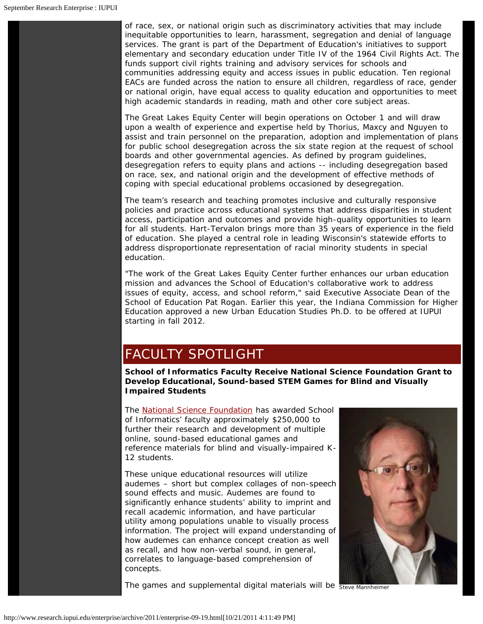of race, sex, or national origin such as discriminatory activities that may include inequitable opportunities to learn, harassment, segregation and denial of language services. The grant is part of the Department of Education's initiatives to support elementary and secondary education under Title IV of the 1964 Civil Rights Act. The funds support civil rights training and advisory services for schools and communities addressing equity and access issues in public education. Ten regional EACs are funded across the nation to ensure all children, regardless of race, gender or national origin, have equal access to quality education and opportunities to meet high academic standards in reading, math and other core subject areas.

The Great Lakes Equity Center will begin operations on October 1 and will draw upon a wealth of experience and expertise held by Thorius, Maxcy and Nguyen to assist and train personnel on the preparation, adoption and implementation of plans for public school desegregation across the six state region at the request of school boards and other governmental agencies. As defined by program guidelines, desegregation refers to equity plans and actions -- including desegregation based on race, sex, and national origin and the development of effective methods of coping with special educational problems occasioned by desegregation.

The team's research and teaching promotes inclusive and culturally responsive policies and practice across educational systems that address disparities in student access, participation and outcomes and provide high-quality opportunities to learn for all students. Hart-Tervalon brings more than 35 years of experience in the field of education. She played a central role in leading Wisconsin's statewide efforts to address disproportionate representation of racial minority students in special education.

"The work of the Great Lakes Equity Center further enhances our urban education mission and advances the School of Education's collaborative work to address issues of equity, access, and school reform," said Executive Associate Dean of the School of Education Pat Rogan. Earlier this year, the Indiana Commission for Higher Education approved a new Urban Education Studies Ph.D. to be offered at IUPUI starting in fall 2012.

# FACULTY SPOTLIGHT

**School of Informatics Faculty Receive National Science Foundation Grant to Develop Educational, Sound-based STEM Games for Blind and Visually Impaired Students**

The **[National Science Foundation](http://www.nsf.gov/)** has awarded School of Informatics' faculty approximately \$250,000 to further their research and development of multiple online, sound-based educational games and reference materials for blind and visually-impaired K-12 students.

These unique educational resources will utilize audemes – short but complex collages of non-speech sound effects and music. Audemes are found to significantly enhance students' ability to imprint and recall academic information, and have particular utility among populations unable to visually process information. The project will expand understanding of how audemes can enhance concept creation as well as recall, and how non-verbal sound, in general, correlates to language-based comprehension of concepts.



The games and supplemental digital materials will be steve Mannheimer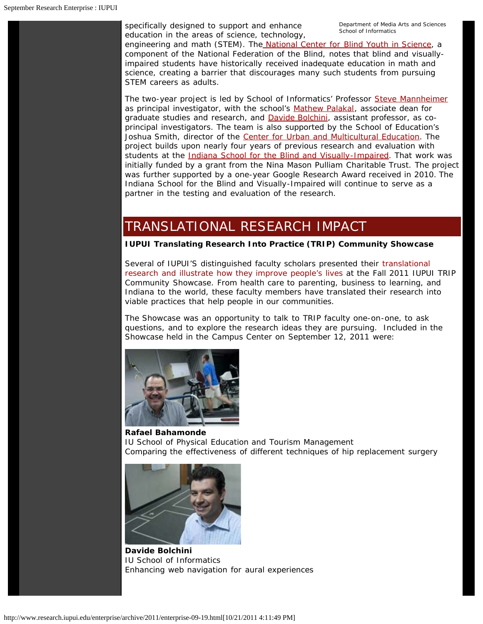specifically designed to support and enhance education in the areas of science, technology, Department of Media Arts and Sciences<br>School of Informatics

engineering and math (STEM). Th[e National Center for Blind Youth in Science](http://www.blindscience.org/ncbys/default.asp), a component of the National Federation of the Blind, notes that blind and visuallyimpaired students have historically received inadequate education in math and science, creating a barrier that discourages many such students from pursuing STEM careers as adults.

The two-year project is led by School of Informatics' Professor [Steve Mannheimer](http://informatics.iupui.edu/people/steve-mannheimer/) as principal investigator, with the school's [Mathew Palakal](http://informatics.iupui.edu/people/mathew-palakal/), associate dean for graduate studies and research, and [Davide Bolchini,](http://informatics.iupui.edu/people/davide-bolchini/) assistant professor, as coprincipal investigators. The team is also supported by the School of Education's Joshua Smith, director of the [Center for Urban and Multicultural Education.](http://education.iupui.edu/cume/) The project builds upon nearly four years of previous research and evaluation with students at the [Indiana School for the Blind and Visually-Impaired](http://www.isbvik12.org/). That work was initially funded by a grant from the Nina Mason Pulliam Charitable Trust. The project was further supported by a one-year Google Research Award received in 2010. The Indiana School for the Blind and Visually-Impaired will continue to serve as a partner in the testing and evaluation of the research.

# TRANSLATIONAL RESEARCH IMPACT

**IUPUI Translating Research Into Practice (TRIP) Community Showcase**

Several of IUPUI'S distinguished faculty scholars presented their translational research and illustrate how they improve people's lives at the Fall 2011 IUPUI TRIP Community Showcase. From health care to parenting, business to learning, and Indiana to the world, these faculty members have translated their research into viable practices that help people in our communities.

The Showcase was an opportunity to talk to TRIP faculty one-on-one, to ask questions, and to explore the research ideas they are pursuing. Included in the Showcase held in the Campus Center on September 12, 2011 were:



**Rafael Bahamonde** *IU School of Physical Education and Tourism Management* Comparing the effectiveness of different techniques of hip replacement surgery



**Davide Bolchini** *IU School of Informatics* Enhancing web navigation for aural experiences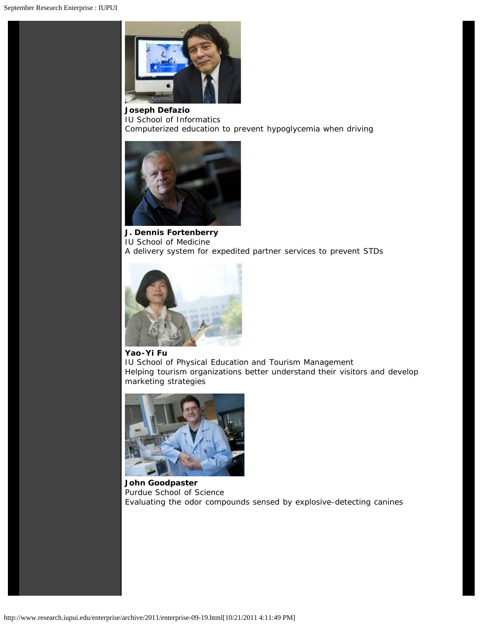

**Joseph Defazio** *IU School of Informatics* Computerized education to prevent hypoglycemia when driving



**J. Dennis Fortenberry** *IU School of Medicine* A delivery system for expedited partner services to prevent STDs



#### **Yao-Yi Fu**

*IU School of Physical Education and Tourism Management* Helping tourism organizations better understand their visitors and develop marketing strategies



**John Goodpaster** *Purdue School of Science* Evaluating the odor compounds sensed by explosive-detecting canines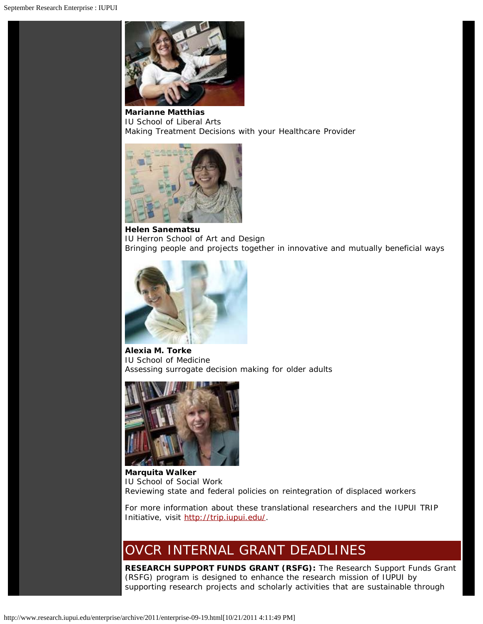

**Marianne Matthias** *IU School of Liberal Arts* Making Treatment Decisions with your Healthcare Provider



**Helen Sanematsu** *IU Herron School of Art and Design* Bringing people and projects together in innovative and mutually beneficial ways



**Alexia M. Torke** *IU School of Medicine* Assessing surrogate decision making for older adults



**Marquita Walker** *IU School of Social Work* Reviewing state and federal policies on reintegration of displaced workers

For more information about these translational researchers and the IUPUI TRIP Initiative, visit [http://trip.iupui.edu/.](http://trip.iupui.edu/)

# OVCR INTERNAL GRANT DEADLINES

**RESEARCH SUPPORT FUNDS GRANT (RSFG):** The Research Support Funds Grant (RSFG) program is designed to enhance the research mission of IUPUI by supporting research projects and scholarly activities that are sustainable through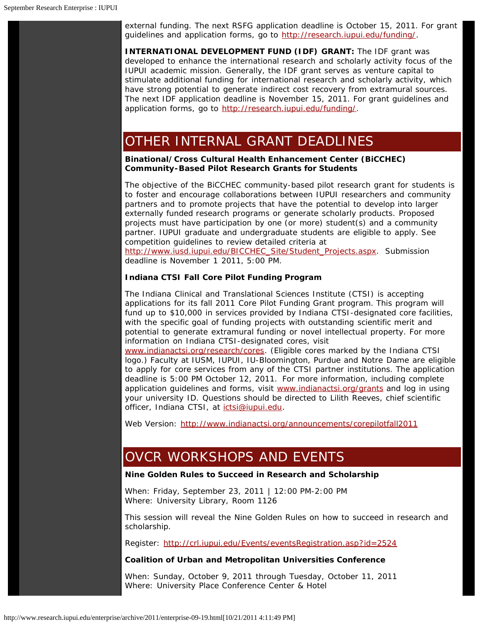external funding. The next RSFG application deadline is October 15, 2011. For grant guidelines and application forms, go to <http://research.iupui.edu/funding/>.

**INTERNATIONAL DEVELOPMENT FUND (IDF) GRANT:** The IDF grant was developed to enhance the international research and scholarly activity focus of the IUPUI academic mission. Generally, the IDF grant serves as venture capital to stimulate additional funding for international research and scholarly activity, which have strong potential to generate indirect cost recovery from extramural sources. The next IDF application deadline is November 15, 2011. For grant guidelines and application forms, go to [http://research.iupui.edu/funding/.](http://research.iupui.edu/funding/)

### OTHER INTERNAL GRANT DEADLINES

**Binational/Cross Cultural Health Enhancement Center (BiCCHEC) Community-Based Pilot Research Grants for Students**

The objective of the BiCCHEC community-based pilot research grant for students is to foster and encourage collaborations between IUPUI researchers and community partners and to promote projects that have the potential to develop into larger externally funded research programs or generate scholarly products. Proposed projects must have participation by one (or more) student(s) and a community partner. IUPUI graduate and undergraduate students are eligible to apply. See competition guidelines to review detailed criteria at [http://www.iusd.iupui.edu/BICCHEC\\_Site/Student\\_Projects.aspx.](http://www.iusd.iupui.edu/BICCHEC_Site/Student_Projects.aspx) Submission

deadline is November 1 2011, 5:00 PM.

#### **Indiana CTSI Fall Core Pilot Funding Program**

The Indiana Clinical and Translational Sciences Institute (CTSI) is accepting applications for its fall 2011 Core Pilot Funding Grant program. This program will fund up to \$10,000 in services provided by Indiana CTSI-designated core facilities, with the specific goal of funding projects with outstanding scientific merit and potential to generate extramural funding or novel intellectual property. For more information on Indiana CTSI-designated cores, visit

[www.indianactsi.org/research/cores.](http://www.indianactsi.org/research/cores) *(Eligible cores marked by the Indiana CTSI logo.)* Faculty at IUSM, IUPUI, IU-Bloomington, Purdue and Notre Dame are eligible to apply for core services from any of the CTSI partner institutions. The application deadline is 5:00 PM October 12, 2011. For more information, including complete application guidelines and forms, visit [www.indianactsi.org/grants](http://www.indianactsi.org/grants/index.php/PCF1104) and log in using your university ID. Questions should be directed to Lilith Reeves, chief scientific officer, Indiana CTSI, at [ictsi@iupui.edu](mailto:ictsi@iupui.edu).

Web Version: <http://www.indianactsi.org/announcements/corepilotfall2011>

# OVCR WORKSHOPS AND EVENTS

#### **Nine Golden Rules to Succeed in Research and Scholarship**

When: Friday, September 23, 2011 | 12:00 PM-2:00 PM Where: University Library, Room 1126

This session will reveal the Nine Golden Rules on how to succeed in research and scholarship.

Register: <http://crl.iupui.edu/Events/eventsRegistration.asp?id=2524>

#### **Coalition of Urban and Metropolitan Universities Conference**

When: Sunday, October 9, 2011 through Tuesday, October 11, 2011 Where: University Place Conference Center & Hotel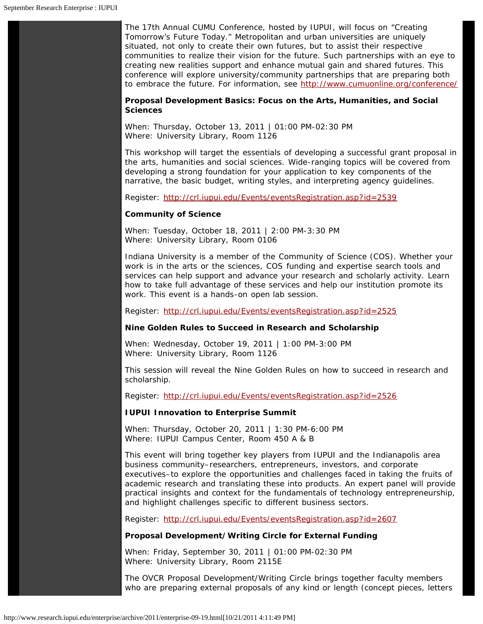The 17th Annual CUMU Conference, hosted by IUPUI, will focus on "Creating Tomorrow's Future Today." Metropolitan and urban universities are uniquely situated, not only to create their own futures, but to assist their respective communities to realize their vision for the future. Such partnerships with an eye to creating new realities support and enhance mutual gain and shared futures. This conference will explore university/community partnerships that are preparing both to embrace the future. For information, see <http://www.cumuonline.org/conference/>

**Proposal Development Basics: Focus on the Arts, Humanities, and Social Sciences**

When: Thursday, October 13, 2011 | 01:00 PM-02:30 PM Where: University Library, Room 1126

This workshop will target the essentials of developing a successful grant proposal in the arts, humanities and social sciences. Wide-ranging topics will be covered from developing a strong foundation for your application to key components of the narrative, the basic budget, writing styles, and interpreting agency guidelines.

Register: <http://crl.iupui.edu/Events/eventsRegistration.asp?id=2539>

#### **Community of Science**

When: Tuesday, October 18, 2011 | 2:00 PM-3:30 PM Where: University Library, Room 0106

Indiana University is a member of the Community of Science (COS). Whether your work is in the arts or the sciences, COS funding and expertise search tools and services can help support and advance your research and scholarly activity. Learn how to take full advantage of these services and help our institution promote its work. This event is a hands-on open lab session.

Register: <http://crl.iupui.edu/Events/eventsRegistration.asp?id=2525>

#### **Nine Golden Rules to Succeed in Research and Scholarship**

When: Wednesday, October 19, 2011 | 1:00 PM-3:00 PM Where: University Library, Room 1126

This session will reveal the Nine Golden Rules on how to succeed in research and scholarship.

Register: <http://crl.iupui.edu/Events/eventsRegistration.asp?id=2526>

#### **IUPUI Innovation to Enterprise Summit**

When: Thursday, October 20, 2011 | 1:30 PM-6:00 PM Where: IUPUI Campus Center, Room 450 A & B

This event will bring together key players from IUPUI and the Indianapolis area business community–researchers, entrepreneurs, investors, and corporate executives–to explore the opportunities and challenges faced in taking the fruits of academic research and translating these into products. An expert panel will provide practical insights and context for the fundamentals of technology entrepreneurship, and highlight challenges specific to different business sectors.

Register: <http://crl.iupui.edu/Events/eventsRegistration.asp?id=2607>

#### **Proposal Development/Writing Circle for External Funding**

When: Friday, September 30, 2011 | 01:00 PM-02:30 PM Where: University Library, Room 2115E

The OVCR Proposal Development/Writing Circle brings together faculty members who are preparing external proposals of any kind or length (concept pieces, letters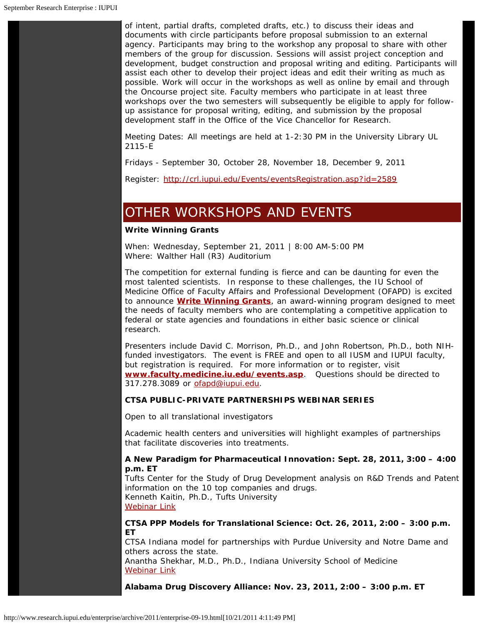of intent, partial drafts, completed drafts, etc.) to discuss their ideas and documents with circle participants before proposal submission to an external agency. Participants may bring to the workshop any proposal to share with other members of the group for discussion. Sessions will assist project conception and development, budget construction and proposal writing and editing. Participants will assist each other to develop their project ideas and edit their writing as much as possible. Work will occur in the workshops as well as online by email and through the Oncourse project site. Faculty members who participate in at least three workshops over the two semesters will subsequently be eligible to apply for followup assistance for proposal writing, editing, and submission by the proposal development staff in the Office of the Vice Chancellor for Research.

Meeting Dates: All meetings are held at 1-2:30 PM in the University Library UL 2115-E

Fridays - September 30, October 28, November 18, December 9, 2011

Register: <http://crl.iupui.edu/Events/eventsRegistration.asp?id=2589>

### OTHER WORKSHOPS AND EVENTS

#### **Write Winning Grants**

When: Wednesday, September 21, 2011 | 8:00 AM-5:00 PM Where: Walther Hall (R3) Auditorium

The competition for external funding is fierce and can be daunting for even the most talented scientists. In response to these challenges, the IU School of Medicine Office of Faculty Affairs and Professional Development (OFAPD) is excited to announce *[Write Winning Grants](https://www.exchange.iu.edu/owa/redir.aspx?C=1f433475c92d43ff9867661d2790cd2b&URL=https%3a%2f%2ffaculty.medicine.iu.edu%2fregistration%2findexDirect.asp%3fid%3d507)*, an award-winning program designed to meet the needs of faculty members who are contemplating a competitive application to federal or state agencies and foundations in either basic science or clinical research.

Presenters include David C. Morrison, Ph.D., and John Robertson, Ph.D., both NIHfunded investigators. The event is FREE and open to all IUSM and IUPUI faculty, but registration is required. For more information or to register, visit **[www.faculty.medicine.iu.edu/events.asp](http://www.faculty.medicine.iu.edu/events.asp)**. Questions should be directed to 317.278.3089 or [ofapd@iupui.edu.](https://www.exchange.iu.edu/owa/redir.aspx?C=1f433475c92d43ff9867661d2790cd2b&URL=mailto%3aofapd%40iupui.edu)

#### **CTSA PUBLIC-PRIVATE PARTNERSHIPS WEBINAR SERIES**

*Open to all translational investigators*

Academic health centers and universities will highlight examples of partnerships that facilitate discoveries into treatments.

#### *A New Paradigm for Pharmaceutical Innovation***: Sept. 28, 2011, 3:00 – 4:00 p.m. ET**

Tufts Center for the Study of Drug Development analysis on R&D Trends and Patent information on the 10 top companies and drugs. Kenneth Kaitin, Ph.D., Tufts University [Webinar Link](https://www.exchange.iu.edu/owa/redir.aspx?C=d6c36876979f40099ba80c3c803ac0c8&URL=https%3a%2f%2fwebmeeting.nih.gov%2fsept2011pppseminar)

#### *CTSA PPP Models for Translational Science***: Oct. 26, 2011, 2:00 – 3:00 p.m. ET**

CTSA Indiana model for partnerships with Purdue University and Notre Dame and others across the state.

Anantha Shekhar, M.D., Ph.D., Indiana University School of Medicine [Webinar Link](https://www.exchange.iu.edu/owa/redir.aspx?C=d6c36876979f40099ba80c3c803ac0c8&URL=https%3a%2f%2fwebmeeting.nih.gov%2foct2011pppseminar)

*Alabama Drug Discovery Alliance***: Nov. 23, 2011, 2:00 – 3:00 p.m. ET**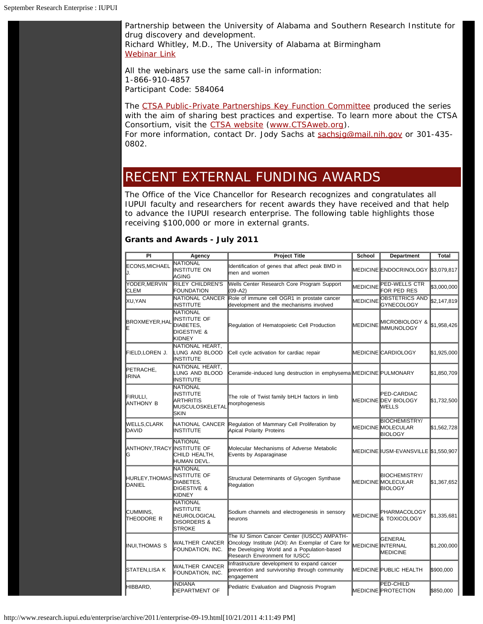Partnership between the University of Alabama and Southern Research Institute for drug discovery and development. Richard Whitley, M.D., The University of Alabama at Birmingham [Webinar Link](https://www.exchange.iu.edu/owa/redir.aspx?C=d6c36876979f40099ba80c3c803ac0c8&URL=https%3a%2f%2fwebmeeting.nih.gov%2fnov2011pppseminar)

All the webinars use the same call-in information: 1-866-910-4857 Participant Code: 584064

The [CTSA Public-Private Partnerships Key Function Committee](https://www.exchange.iu.edu/owa/redir.aspx?C=d6c36876979f40099ba80c3c803ac0c8&URL=http%3a%2f%2fwww.ctsaweb.org%2findex.cfm%3ffuseaction%3dcommittee.viewCommittee%26com_ID%3d25%26abbr%3dPPP) produced the series with the aim of sharing best practices and expertise. To learn more about the CTSA Consortium, visit the [CTSA website \(www.CTSAweb.org](https://www.exchange.iu.edu/owa/redir.aspx?C=d6c36876979f40099ba80c3c803ac0c8&URL=http%3a%2f%2fwww.ctsaweb.org%2f)). For more information, contact Dr. Jody Sachs at sachsig@mail.nih.gov or 301-435-0802.

### RECENT EXTERNAL FUNDING AWARDS

The Office of the Vice Chancellor for Research recognizes and congratulates all IUPUI faculty and researchers for recent awards they have received and that help to advance the IUPUI research enterprise. The following table highlights those receiving \$100,000 or more in external grants.

#### **Grants and Awards - July 2011**

| PI                               | Agency                                                                                  | <b>Project Title</b>                                                                                                                                                             | School          | Department                                                          | Total       |
|----------------------------------|-----------------------------------------------------------------------------------------|----------------------------------------------------------------------------------------------------------------------------------------------------------------------------------|-----------------|---------------------------------------------------------------------|-------------|
| ECONS, MICHAEL<br>IJ.            | NATIONAL<br>INSTITUTE ON<br>IAGING                                                      | Identification of genes that affect peak BMD in<br>lmen and women                                                                                                                |                 | MEDICINE ENDOCRINOLOGY 53,079,817                                   |             |
| YODER, MERVIN<br>CLEM            | RILEY CHILDREN'S<br>FOUNDATION                                                          | Wells Center Research Core Program Support<br>$(09-A2)$                                                                                                                          | <b>MEDICINE</b> | PED-WELLS CTR<br>FOR PED RES                                        | S3.000.000  |
| XU,YAN                           | NATIONAL CANCER<br>INSTITUTE                                                            | Role of immune cell OGR1 in prostate cancer<br>development and the mechanisms involved                                                                                           | <b>MEDICINE</b> | OBSTETRICS AND<br><b>GYNECOLOGY</b>                                 | \$2,147,819 |
| <b>BROXMEYER, HAL</b><br>ΙE      | <b>NATIONAL</b><br>INSTITUTE OF<br>DIABETES.<br>DIGESTIVE &<br>KIDNEY                   | Regulation of Hematopoietic Cell Production                                                                                                                                      | <b>MEDICINE</b> | MICROBIOLOGY &<br><b>IMMUNOLOGY</b>                                 | \$1,958,426 |
| FIELD,LOREN J.                   | NATIONAL HEART,<br>LUNG AND BLOOD<br>INSTITUTE                                          | Cell cycle activation for cardiac repair                                                                                                                                         |                 | MEDICINE CARDIOLOGY                                                 | \$1,925,000 |
| PETRACHE,<br><b>IRINA</b>        | NATIONAL HEART,<br>LUNG AND BLOOD<br>INSTITUTE                                          | Ceramide-induced lung destruction in emphysema MEDICINE PULMONARY                                                                                                                |                 |                                                                     | \$1,850,709 |
| FIRULLI.<br>Ianthony b           | NATIONAL<br><b>INSTITUTE</b><br>ARTHRITIS<br><b>I</b> MUSCULOSKELETAL<br><b>SKIN</b>    | The role of Twist family bHLH factors in limb<br>morphogenesis                                                                                                                   |                 | PED-CARDIAC<br>MEDICINE DEV BIOLOGY<br>WELLS                        | \$1,732,500 |
| WELLS,CLARK<br>DAVID             | NATIONAL CANCER<br><b>INSTITUTE</b>                                                     | Regulation of Mammary Cell Proliferation by<br>Apical Polarity Proteins                                                                                                          |                 | <b>BIOCHEMISTRY/</b><br><b>MEDICINE MOLECULAR</b><br><b>BIOLOGY</b> | \$1,562,728 |
| ANTHONY, TRACY INSTITUTE OF<br>G | NATIONAL<br>CHILD HEALTH,<br>HUMAN DEVL.                                                | Molecular Mechanisms of Adverse Metabolic<br>Events by Asparaginase                                                                                                              |                 | MEDICINE IUSM-EVANSVILLE \$1,550,907                                |             |
| HURLEY, THOMAS<br>DANIEL         | NATIONAL<br>INSTITUTE OF<br>DIABETES.<br>DIGESTIVE &<br>KIDNEY                          | Structural Determinants of Glycogen Synthase<br>Regulation                                                                                                                       |                 | BIOCHEMISTRY/<br>MEDICINE MOLECULAR<br><b>BIOLOGY</b>               | \$1,367,652 |
| ICUMMINS,<br>THEODORE R          | NATIONAL<br><b>INSTITUTE</b><br>NEUROLOGICAL<br><b>DISORDERS &amp;</b><br><b>STROKE</b> | Sodium channels and electrogenesis in sensory<br>heurons                                                                                                                         | <b>MEDICINE</b> | PHARMACOLOGY<br>& TOXICOLOGY                                        | \$1,335,681 |
| INUI, THOMAS S                   | <b>WALTHER CANCER</b><br>FOUNDATION, INC.                                               | The IU Simon Cancer Center (IUSCC) AMPATH-<br>Oncology Institute (AOI): An Exemplar of Care for<br>the Developing World and a Population-based<br>Research Environment for IUSCC |                 | GENERAL<br>MEDICINE INTERNAL<br><b>MEDICINE</b>                     | \$1,200,000 |
| STATEN,LISA K                    | WALTHER CANCER<br>FOUNDATION, INC.                                                      | Infrastructure development to expand cancer<br>prevention and survivorship through community<br>engagement                                                                       |                 | MEDICINE PUBLIC HEALTH                                              | \$900,000   |
| HIBBARD,                         | INDIANA<br>DEPARTMENT OF                                                                | Pediatric Evaluation and Diagnosis Program                                                                                                                                       |                 | PED-CHILD<br>MEDICINE PROTECTION                                    | \$850,000   |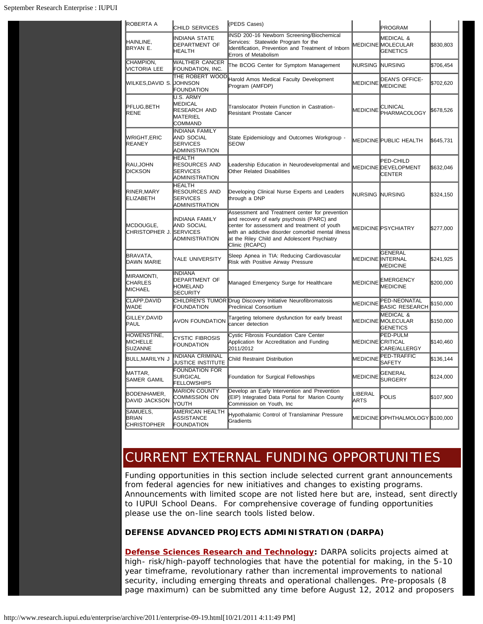| <b>ROBERTA A</b>                                 | CHILD SERVICES                                                             | (PEDS Cases)                                                                                                                                                                                                                                                         |                   | PROGRAM                                                              |           |
|--------------------------------------------------|----------------------------------------------------------------------------|----------------------------------------------------------------------------------------------------------------------------------------------------------------------------------------------------------------------------------------------------------------------|-------------------|----------------------------------------------------------------------|-----------|
| HAINLINE,<br>BRYAN E.                            | <b>INDIANA STATE</b><br><b>DEPARTMENT OF</b><br><b>HEALTH</b>              | INSD 200-16 Newborn Screening/Biochemical<br>Services: Statewide Program for the<br>Identification, Prevention and Treatment of Inborn<br>Errors of Metabolism                                                                                                       |                   | <b>MEDICAL &amp;</b><br><b>MEDICINE MOLECULAR</b><br><b>GENETICS</b> | \$830,803 |
| CHAMPION,<br>VICTORIA LEE                        | WALTHER CANCER<br>FOUNDATION, INC.                                         | The BCOG Center for Symptom Management                                                                                                                                                                                                                               | <b>NURSING</b>    | <b>NURSING</b>                                                       | \$706,454 |
| <b>WILKES, DAVID S.</b>                          | THE ROBERT WOOD<br><b>JOHNSON</b><br><b>FOUNDATION</b>                     | Harold Amos Medical Faculty Development<br>Program (AMFDP)                                                                                                                                                                                                           | <b>MEDICINE</b>   | DEAN'S OFFICE-<br><b>MEDICINE</b>                                    | \$702,620 |
| PFLUG, BETH<br>RENE                              | U.S. ARMY<br><b>MEDICAL</b><br>RESEARCH AND<br>MATERIEL<br>COMMAND         | Translocator Protein Function in Castration-<br><b>Resistant Prostate Cancer</b>                                                                                                                                                                                     | MEDICINE          | CLINICAL<br><b>PHARMACOLOGY</b>                                      | \$678,526 |
| <b>WRIGHT,ERIC</b><br>REANEY                     | <b>INDIANA FAMILY</b><br>AND SOCIAL<br><b>SERVICES</b><br>ADMINISTRATION   | State Epidemiology and Outcomes Workgroup -<br><b>SEOW</b>                                                                                                                                                                                                           |                   | <b>MEDICINE PUBLIC HEALTH</b>                                        | \$645,731 |
| RAU,JOHN<br><b>DICKSON</b>                       | <b>HEALTH</b><br><b>RESOURCES AND</b><br><b>SERVICES</b><br>ADMINISTRATION | Leadership Education in Neurodevelopmental and<br><b>Other Related Disabilities</b>                                                                                                                                                                                  |                   | PED-CHILD<br>MEDICINE DEVELOPMENT<br><b>CENTER</b>                   | \$632,046 |
| RINER, MARY<br><b>ELIZABETH</b>                  | <b>HEALTH</b><br>RESOURCES AND<br><b>SERVICES</b><br>ADMINISTRATION        | Developing Clinical Nurse Experts and Leaders<br>through a DNP                                                                                                                                                                                                       | NURSING NURSING   |                                                                      | \$324,150 |
| <b>IMCDOUGLE.</b><br>CHRISTOPHER J.              | INDIANA FAMILY<br>AND SOCIAL<br><b>SERVICES</b><br><b>ADMINISTRATION</b>   | Assessment and Treatment center for prevention<br>and recovery of early psychosis (PARC) and<br>center for assessment and treatment of youth<br>with an addictive disorder comorbid mental illness<br>at the Riley Child and Adolescent Psychiatry<br>Clinic (RCAPC) |                   | <b>MEDICINE PSYCHIATRY</b>                                           | \$277,000 |
| BRAVATA,<br>DAWN MARIE                           | YALE UNIVERSITY                                                            | Sleep Apnea in TIA: Reducing Cardiovascular<br>Risk with Positive Airway Pressure                                                                                                                                                                                    |                   | <b>GENERAL</b><br><b>MEDICINE INTERNAL</b><br><b>MEDICINE</b>        | \$241,925 |
| MIRAMONTI,<br><b>CHARLES</b><br>MICHAEL          | <b>INDIANA</b><br>DEPARTMENT OF<br>HOMELAND<br><b>SECURITY</b>             | Managed Emergency Surge for Healthcare                                                                                                                                                                                                                               | <b>MEDICINE</b>   | EMERGENCY<br><b>MEDICINE</b>                                         | \$200,000 |
| <b>CLAPP,DAVID</b><br>WADE                       | <b>FOUNDATION</b>                                                          | CHILDREN'S TUMOR Drug Discovery Initiative Neurofibromatosis<br><b>Preclinical Consortium</b>                                                                                                                                                                        | MEDICINE          | PED-NEONATAL<br><b>BASIC RESEARCH</b>                                | \$150,000 |
| GILLEY,DAVID<br> PAUL                            | <b>AVON FOUNDATION</b>                                                     | Targeting telomere dysfunction for early breast<br>cancer detection                                                                                                                                                                                                  |                   | MEDICAL &<br>MEDICINE MOLECULAR<br><b>GENETICS</b>                   | \$150,000 |
| HOWENSTINE,<br><b>MICHELLE</b><br><b>SUZANNE</b> | <b>CYSTIC FIBROSIS</b><br><b>FOUNDATION</b>                                | Cystic Fibrosis Foundation Care Center<br>Application for Accreditation and Funding<br>2011/2012                                                                                                                                                                     | MEDICINE CRITICAL | PED-PULM<br>CARE/ALLERGY                                             | \$140,460 |
| BULL, MARILYN J                                  | <b>INDIANA CRIMINAL</b><br>JUSTICE INSTITUTE                               | Child Restraint Distribution                                                                                                                                                                                                                                         | <b>MEDICINE</b>   | PED-TRAFFIC<br>SAFETY                                                | \$136,144 |
| MATTAR,<br>SAMER GAMIL                           | <b>FOUNDATION FOR</b><br><b>SURGICAL</b><br><b>FELLOWSHIPS</b>             | Foundation for Surgical Fellowships                                                                                                                                                                                                                                  | <b>MEDICINE</b>   | GENERAL<br><b>SURGERY</b>                                            | \$124,000 |
| BODENHAMER,<br><b>DAVID JACKSON</b>              | <b>MARION COUNTY</b><br>COMMISSION ON<br>YOUTH                             | Develop an Early Intervention and Prevention<br>(EIP) Integrated Data Portal for Marion County<br>Commission on Youth, Inc                                                                                                                                           | LIBERAL<br>ARTS   | POLIS                                                                | \$107,900 |
| SAMUELS,<br><b>BRIAN</b><br><b>CHRISTOPHER</b>   | AMERICAN HEALTH<br>ASSISTANCE<br>FOUNDATION                                | Hypothalamic Control of Translaminar Pressure<br>Gradients                                                                                                                                                                                                           |                   | MEDICINE OPHTHALMOLOGY \$100,000                                     |           |

# CURRENT EXTERNAL FUNDING OPPORTUNITIES

Funding opportunities in this section include selected current grant announcements from federal agencies for new initiatives and changes to existing programs. Announcements with limited scope are not listed here but are, instead, sent directly to IUPUI School Deans. For comprehensive coverage of funding opportunities please use the on-line search tools listed below.

#### **DEFENSE ADVANCED PROJECTS ADMINISTRATION (DARPA)**

**[Defense Sciences Research and Technology:](http://www.grants.gov/search/search.do?mode=VIEW&oppId=112994)** DARPA solicits projects aimed at high- risk/high-payoff technologies that have the potential for making, in the 5-10 year timeframe, revolutionary rather than incremental improvements to national security, including emerging threats and operational challenges. *Pre-proposals (8 page maximum) can be submitted any time before August 12, 2012 and proposers*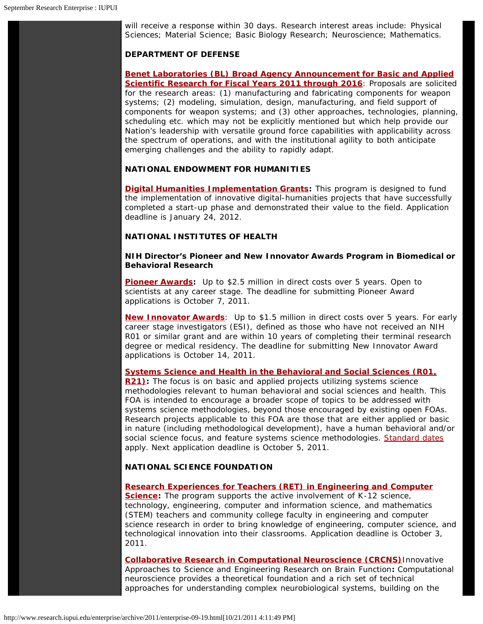*will receive a response within 30 days.* Research interest areas include: Physical Sciences; Material Science; Basic Biology Research; Neuroscience; Mathematics.

#### **DEPARTMENT OF DEFENSE**

**[Benet Laboratories \(BL\) Broad Agency Announcement for Basic and Applied](http://www.grants.gov/search/search.do?mode=VIEW&oppId=102213) [Scientific Research for Fiscal Years 2011 through 2016](http://www.grants.gov/search/search.do?mode=VIEW&oppId=102213)**: Proposals are solicited for the research areas: (1) manufacturing and fabricating components for weapon systems; (2) modeling, simulation, design, manufacturing, and field support of components for weapon systems; and (3) other approaches, technologies, planning, scheduling etc. which may not be explicitly mentioned but which help provide our Nation's leadership with versatile ground force capabilities with applicability across the spectrum of operations, and with the institutional agility to both anticipate emerging challenges and the ability to rapidly adapt.

#### **NATIONAL ENDOWMENT FOR HUMANITIES**

**[Digital Humanities Implementation Grants:](http://www.neh.gov/grants/guidelines/digitalhumanitiesimplementation.html)** This program is designed to fund the implementation of innovative digital-humanities projects that have successfully completed a start-up phase and demonstrated their value to the field. *Application deadline is January 24, 2012.*

#### **NATIONAL INSTITUTES OF HEALTH**

#### **NIH Director's Pioneer and New Innovator Awards Program in Biomedical or Behavioral Research**

**[Pioneer Awards:](http://grants.nih.gov/grants/guide/rfa-files/RFA-RM-11-004.html)** Up to \$2.5 million in direct costs over 5 years. Open to scientists at any career stage. *The deadline for submitting Pioneer Award applications is October 7, 2011.*

**[New Innovator Awards](http://grants.nih.gov/grants/guide/rfa-files/RFA-RM-11-005.html)**: Up to \$1.5 million in direct costs over 5 years. For early career stage investigators (ESI), defined as those who have not received an NIH R01 or similar grant and are within 10 years of completing their terminal research degree or medical residency. *The deadline for submitting New Innovator Award applications is October 14, 2011.*

**[Systems Science and Health in the Behavioral and Social Sciences \(R01,](http://grants.nih.gov/grants/guide/pa-files/PAR-11-314.html)** [R21\):](http://grants.nih.gov/grants/guide/pa-files/PAR-11-314.html) The focus is on basic and applied projects utilizing systems science methodologies relevant to human behavioral and social sciences and health. This FOA is intended to encourage a broader scope of topics to be addressed with systems science methodologies, beyond those encouraged by existing open FOAs. Research projects applicable to this FOA are those that are either applied or basic in nature (including methodological development), have a human behavioral and/or social science focus, and feature systems science methodologies. [Standard dates](http://grants.nih.gov/grants/guide/url_redirect.htm?id=11111) apply. *Next application deadline is October 5, 2011.*

#### **NATIONAL SCIENCE FOUNDATION**

#### **[Research Experiences for Teachers \(RET\) in Engineering and Computer](http://nsf.gov/pubs/2011/nsf11509/nsf11509.htm)**

**[Science:](http://nsf.gov/pubs/2011/nsf11509/nsf11509.htm)** The program supports the active involvement of K-12 science, technology, engineering, computer and information science, and mathematics (STEM) teachers and community college faculty in engineering and computer science research in order to bring knowledge of engineering, computer science, and technological innovation into their classrooms. *Application deadline is October 3, 2011.*

**[Collaborative Research in Computational Neuroscience \(CRCNS\)](http://nsf.gov/pubs/2011/nsf11505/nsf11505.htm)**Innovative Approaches to Science and Engineering Research on Brain Function**:** Computational neuroscience provides a theoretical foundation and a rich set of technical approaches for understanding complex neurobiological systems, building on the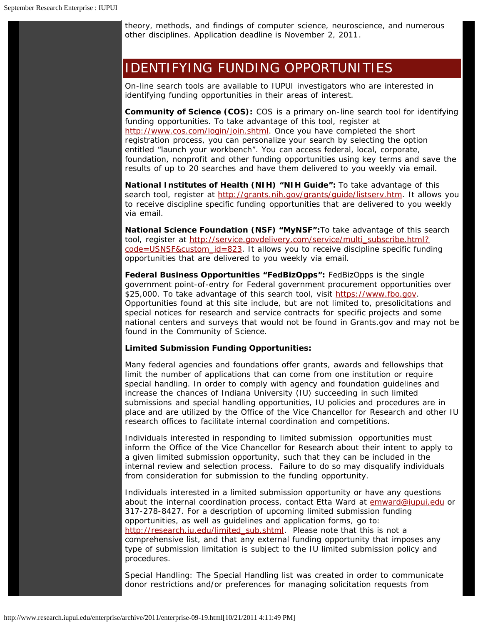theory, methods, and findings of computer science, neuroscience, and numerous other disciplines. *Application deadline is November 2, 2011*.

### IDENTIFYING FUNDING OPPORTUNITIES

On-line search tools are available to IUPUI investigators who are interested in identifying funding opportunities in their areas of interest.

**Community of Science (COS):** COS is a primary on-line search tool for identifying funding opportunities. To take advantage of this tool, register at [http://www.cos.com/login/join.shtml.](http://www.cos.com/login/join.shtml) Once you have completed the short registration process, you can personalize your search by selecting the option entitled "launch your workbench". You can access federal, local, corporate, foundation, nonprofit and other funding opportunities using key terms and save the results of up to 20 searches and have them delivered to you weekly via email.

**National Institutes of Health (NIH) "NIH Guide":** To take advantage of this search tool, register at <http://grants.nih.gov/grants/guide/listserv.htm>. It allows you to receive discipline specific funding opportunities that are delivered to you weekly via email.

**National Science Foundation (NSF) "MyNSF":**To take advantage of this search tool, register at [http://service.govdelivery.com/service/multi\\_subscribe.html?](http://service.govdelivery.com/service/multi_subscribe.html?code=USNSF&custom_id=823)  $code=USNSF&customer$  id=823. It allows you to receive discipline specific funding opportunities that are delivered to you weekly via email.

**Federal Business Opportunities "FedBizOpps":** FedBizOpps is the single government point-of-entry for Federal government procurement opportunities over \$25,000. To take advantage of this search tool, visit [https://www.fbo.gov.](https://www.fbo.gov/) Opportunities found at this site include, but are not limited to, presolicitations and special notices for research and service contracts for specific projects and some national centers and surveys that would not be found in Grants.gov and may not be found in the Community of Science.

#### **Limited Submission Funding Opportunities:**

Many federal agencies and foundations offer grants, awards and fellowships that limit the number of applications that can come from one institution or require special handling. In order to comply with agency and foundation guidelines and increase the chances of Indiana University (IU) succeeding in such limited submissions and special handling opportunities, IU policies and procedures are in place and are utilized by the Office of the Vice Chancellor for Research and other IU research offices to facilitate internal coordination and competitions.

Individuals interested in responding to limited submission opportunities must inform the Office of the Vice Chancellor for Research about their intent to apply to a given limited submission opportunity, such that they can be included in the internal review and selection process. Failure to do so may disqualify individuals from consideration for submission to the funding opportunity.

Individuals interested in a limited submission opportunity or have any questions about the internal coordination process, contact Etta Ward at [emward@iupui.edu](mailto:emward@iupui.edu) or 317-278-8427. For a description of upcoming limited submission funding opportunities, as well as guidelines and application forms, go to: [http://research.iu.edu/limited\\_sub.shtml.](http://research.iu.edu/limited_sub.shtml) Please note that this is not a comprehensive list, and that any external funding opportunity that imposes any type of submission limitation is subject to the IU limited submission policy and procedures.

Special Handling: The Special Handling list was created in order to communicate donor restrictions and/or preferences for managing solicitation requests from